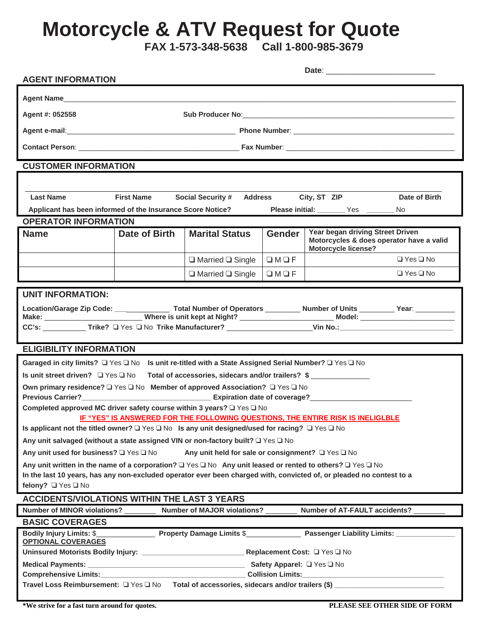## **Motorcycle & ATV Request for Quote**

 **FAX 1-573-348-5638 Call 1-800-985-3679** 

| <b>AGENT INFORMATION</b>                                                                                                                                                                                                                                                                                                                                                             |                                                                                               |                              |                 |                                                                                                            |                      |  |
|--------------------------------------------------------------------------------------------------------------------------------------------------------------------------------------------------------------------------------------------------------------------------------------------------------------------------------------------------------------------------------------|-----------------------------------------------------------------------------------------------|------------------------------|-----------------|------------------------------------------------------------------------------------------------------------|----------------------|--|
|                                                                                                                                                                                                                                                                                                                                                                                      |                                                                                               |                              |                 |                                                                                                            |                      |  |
| Agent #: 052558                                                                                                                                                                                                                                                                                                                                                                      |                                                                                               |                              |                 |                                                                                                            |                      |  |
|                                                                                                                                                                                                                                                                                                                                                                                      |                                                                                               |                              |                 |                                                                                                            |                      |  |
|                                                                                                                                                                                                                                                                                                                                                                                      |                                                                                               |                              |                 |                                                                                                            |                      |  |
| <b>CUSTOMER INFORMATION</b>                                                                                                                                                                                                                                                                                                                                                          |                                                                                               |                              |                 |                                                                                                            |                      |  |
|                                                                                                                                                                                                                                                                                                                                                                                      |                                                                                               |                              |                 |                                                                                                            |                      |  |
| <b>Last Name</b>                                                                                                                                                                                                                                                                                                                                                                     | City, ST ZIP<br><b>First Name</b><br><b>Social Security #</b><br>Date of Birth<br>Address     |                              |                 |                                                                                                            |                      |  |
|                                                                                                                                                                                                                                                                                                                                                                                      | Applicant has been informed of the Insurance Score Notice?<br>Please initial: Ves ________ No |                              |                 |                                                                                                            |                      |  |
| <b>OPERATOR INFORMATION</b>                                                                                                                                                                                                                                                                                                                                                          |                                                                                               |                              |                 |                                                                                                            |                      |  |
| <b>Name</b>                                                                                                                                                                                                                                                                                                                                                                          | Date of Birth                                                                                 | <b>Marital Status</b>        | <b>Gender</b>   | Year began driving Street Driven<br>Motorcycles & does operator have a valid<br><b>Motorcycle license?</b> |                      |  |
|                                                                                                                                                                                                                                                                                                                                                                                      |                                                                                               | $\Box$ Married $\Box$ Single | $\Box M \Box F$ |                                                                                                            | $\Box$ Yes $\Box$ No |  |
|                                                                                                                                                                                                                                                                                                                                                                                      |                                                                                               | $\Box$ Married $\Box$ Single | $\Box M \Box F$ |                                                                                                            | $\Box$ Yes $\Box$ No |  |
| <b>UNIT INFORMATION:</b><br><b>ELIGIBILITY INFORMATION</b>                                                                                                                                                                                                                                                                                                                           |                                                                                               |                              |                 |                                                                                                            |                      |  |
| Garaged in city limits? □ Yes □ No Is unit re-titled with a State Assigned Serial Number? □ Yes □ No                                                                                                                                                                                                                                                                                 |                                                                                               |                              |                 |                                                                                                            |                      |  |
| Is unit street driven? $\Box$ Yes $\Box$ No<br>Total of accessories, sidecars and/or trailers? \$                                                                                                                                                                                                                                                                                    |                                                                                               |                              |                 |                                                                                                            |                      |  |
| Own primary residence? □ Yes □ No Member of approved Association? □ Yes □ No<br>Completed approved MC driver safety course within 3 years? □ Yes □ No<br>IF "YES" IS ANSWERED FOR THE FOLLOWING QUESTIONS, THE ENTIRE RISK IS INELIGLBLE                                                                                                                                             |                                                                                               |                              |                 |                                                                                                            |                      |  |
| Is applicant not the titled owner? $\Box$ Yes $\Box$ No Is any unit designed/used for racing? $\Box$ Yes $\Box$ No                                                                                                                                                                                                                                                                   |                                                                                               |                              |                 |                                                                                                            |                      |  |
| Any unit salvaged (without a state assigned VIN or non-factory built? □ Yes □ No                                                                                                                                                                                                                                                                                                     |                                                                                               |                              |                 |                                                                                                            |                      |  |
| Any unit used for business? Q Yes Q No<br>Any unit held for sale or consignment? $\Box$ Yes $\Box$ No<br>Any unit written in the name of a corporation? $\Box$ Yes $\Box$ No Any unit leased or rented to others? $\Box$ Yes $\Box$ No<br>In the last 10 years, has any non-excluded operator ever been charged with, convicted of, or pleaded no contest to a<br>felony? □ Yes □ No |                                                                                               |                              |                 |                                                                                                            |                      |  |
| <b>ACCIDENTS/VIOLATIONS WITHIN THE LAST 3 YEARS</b>                                                                                                                                                                                                                                                                                                                                  |                                                                                               |                              |                 |                                                                                                            |                      |  |
| Number of MINOR violations? __________ Number of MAJOR violations? ________ Number of AT-FAULT accidents?                                                                                                                                                                                                                                                                            |                                                                                               |                              |                 |                                                                                                            |                      |  |
| <b>BASIC COVERAGES</b>                                                                                                                                                                                                                                                                                                                                                               |                                                                                               |                              |                 |                                                                                                            |                      |  |
| <b>OPTIONAL COVERAGES</b>                                                                                                                                                                                                                                                                                                                                                            |                                                                                               |                              |                 |                                                                                                            |                      |  |
|                                                                                                                                                                                                                                                                                                                                                                                      |                                                                                               |                              |                 |                                                                                                            |                      |  |
|                                                                                                                                                                                                                                                                                                                                                                                      |                                                                                               |                              |                 |                                                                                                            |                      |  |
|                                                                                                                                                                                                                                                                                                                                                                                      |                                                                                               |                              |                 |                                                                                                            |                      |  |

**\*We strive for a fast turn around for quotes. PLEASE SEE OTHER SIDE OF FORM**